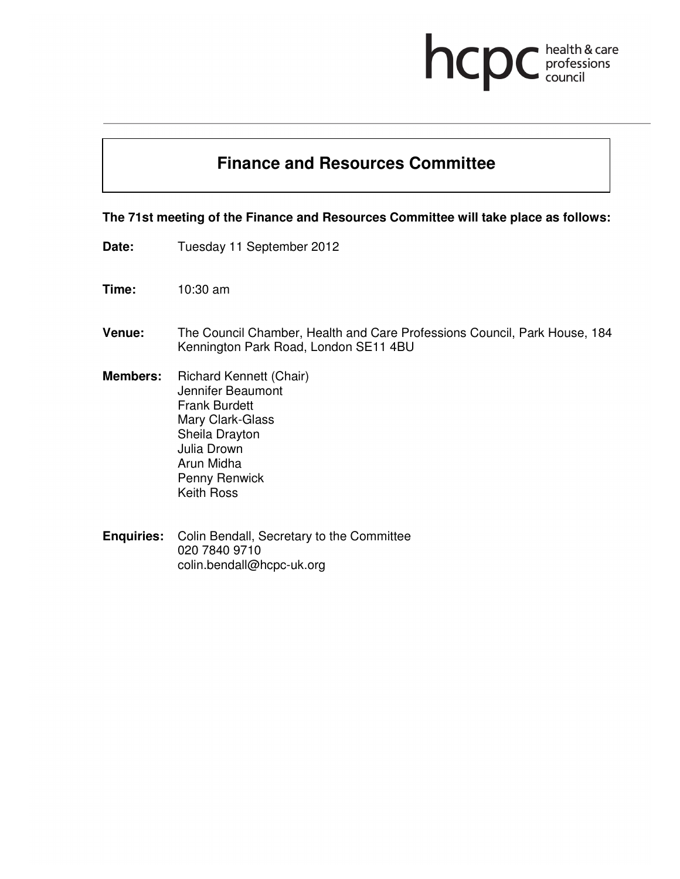# health & care<br>professions<br>council hcp

### **Finance and Resources Committee**

### **The 71st meeting of the Finance and Resources Committee will take place as follows:**

- Date: Tuesday 11 September 2012
- **Time:** 10:30 am
- **Venue:** The Council Chamber, Health and Care Professions Council, Park House, 184 Kennington Park Road, London SE11 4BU
- **Members:** Richard Kennett (Chair) Jennifer Beaumont Frank Burdett Mary Clark-Glass Sheila Drayton Julia Drown Arun Midha Penny Renwick Keith Ross
- **Enquiries:** Colin Bendall, Secretary to the Committee 020 7840 9710 colin.bendall@hcpc-uk.org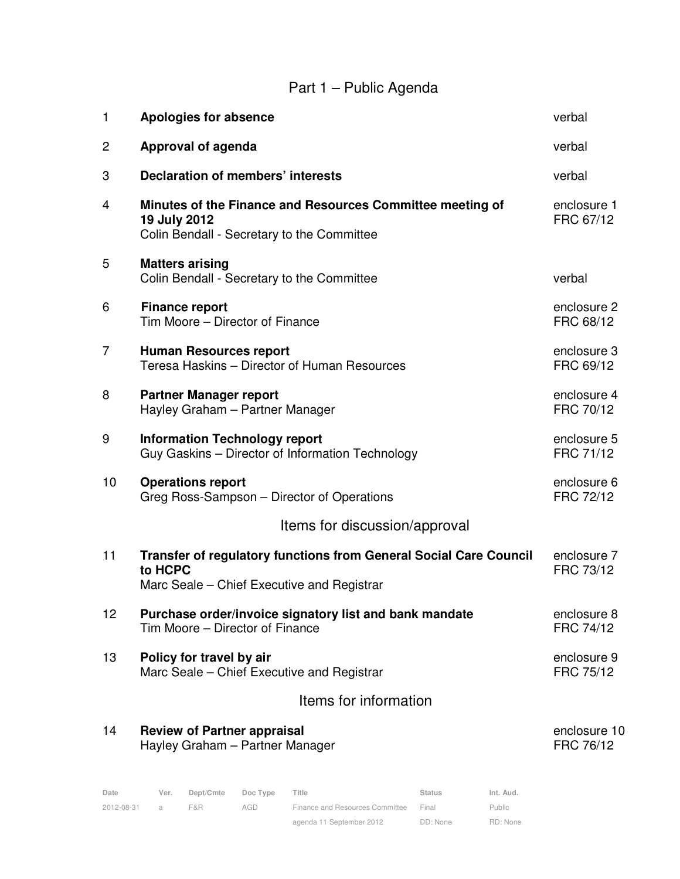### Part 1 – Public Agenda

| 1              | <b>Apologies for absence</b>                                                                                                      | verbal                    |
|----------------|-----------------------------------------------------------------------------------------------------------------------------------|---------------------------|
| $\overline{c}$ | <b>Approval of agenda</b>                                                                                                         | verbal                    |
| 3              | <b>Declaration of members' interests</b>                                                                                          | verbal                    |
| 4              | Minutes of the Finance and Resources Committee meeting of<br>19 July 2012<br>Colin Bendall - Secretary to the Committee           | enclosure 1<br>FRC 67/12  |
| 5              | <b>Matters arising</b><br>Colin Bendall - Secretary to the Committee                                                              | verbal                    |
| 6              | <b>Finance report</b><br>Tim Moore - Director of Finance                                                                          | enclosure 2<br>FRC 68/12  |
| $\overline{7}$ | <b>Human Resources report</b><br>Teresa Haskins - Director of Human Resources                                                     | enclosure 3<br>FRC 69/12  |
| 8              | <b>Partner Manager report</b><br>Hayley Graham - Partner Manager                                                                  | enclosure 4<br>FRC 70/12  |
| 9              | <b>Information Technology report</b><br>Guy Gaskins - Director of Information Technology                                          | enclosure 5<br>FRC 71/12  |
| 10             | <b>Operations report</b><br>Greg Ross-Sampson - Director of Operations                                                            | enclosure 6<br>FRC 72/12  |
|                | Items for discussion/approval                                                                                                     |                           |
| 11             | <b>Transfer of regulatory functions from General Social Care Council</b><br>to HCPC<br>Marc Seale - Chief Executive and Registrar | enclosure 7<br>FRC 73/12  |
| 12             | Purchase order/invoice signatory list and bank mandate<br>Tim Moore – Director of Finance                                         | enclosure 8<br>FRC 74/12  |
| 13             | Policy for travel by air<br>Marc Seale - Chief Executive and Registrar                                                            | enclosure 9<br>FRC 75/12  |
|                | Items for information                                                                                                             |                           |
| 14             | <b>Review of Partner appraisal</b><br>Hayley Graham - Partner Manager                                                             | enclosure 10<br>FRC 76/12 |
|                |                                                                                                                                   |                           |

| Date       | Ver. | Dept/Cmte | Doc Type | Title                           | <b>Status</b> | Int. Aud. |
|------------|------|-----------|----------|---------------------------------|---------------|-----------|
| 2012-08-31 |      | F&R.      | AGD      | Finance and Resources Committee | Final         | Public    |
|            |      |           |          | agenda 11 September 2012        | DD: None      | RD: None  |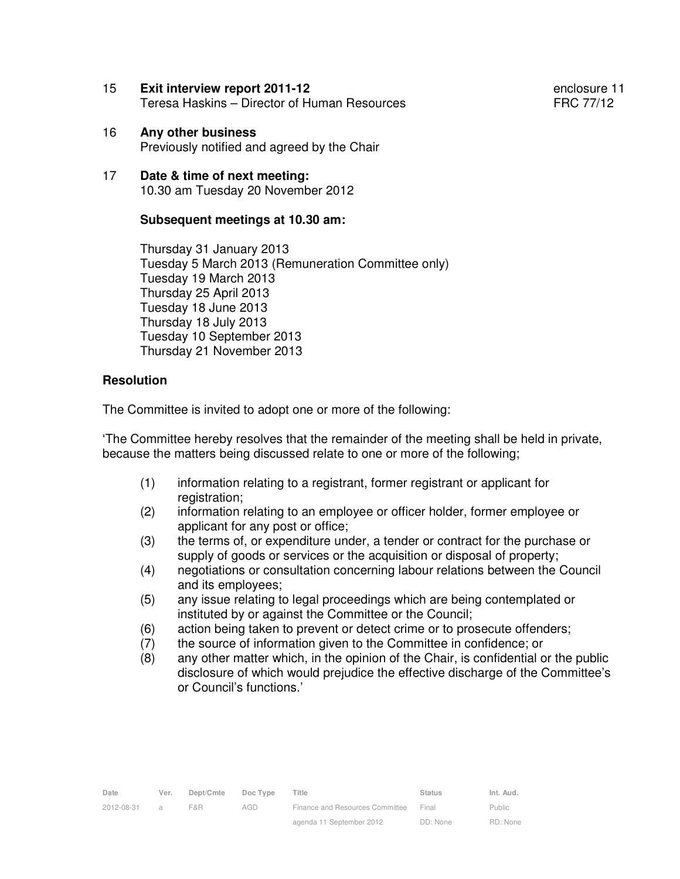15 **Exit interview report 2011-12** enclosure 11 Teresa Haskins – Director of Human Resources Terms FRC 77/12

- 16 **Any other business** Previously notified and agreed by the Chair
- 17 **Date & time of next meeting:** 10.30 am Tuesday 20 November 2012

#### **Subsequent meetings at 10.30 am:**

Thursday 31 January 2013 Tuesday 5 March 2013 (Remuneration Committee only) Tuesday 19 March 2013 Thursday 25 April 2013 Tuesday 18 June 2013 Thursday 18 July 2013 Tuesday 10 September 2013 Thursday 21 November 2013

#### **Resolution**

The Committee is invited to adopt one or more of the following:

'The Committee hereby resolves that the remainder of the meeting shall be held in private, because the matters being discussed relate to one or more of the following;

- (1) information relating to a registrant, former registrant or applicant for registration:
- (2) information relating to an employee or officer holder, former employee or applicant for any post or office;
- (3) the terms of, or expenditure under, a tender or contract for the purchase or supply of goods or services or the acquisition or disposal of property;
- (4) negotiations or consultation concerning labour relations between the Council and its employees;
- (5) any issue relating to legal proceedings which are being contemplated or instituted by or against the Committee or the Council;
- (6) action being taken to prevent or detect crime or to prosecute offenders;
- (7) the source of information given to the Committee in confidence; or
- (8) any other matter which, in the opinion of the Chair, is confidential or the public disclosure of which would prejudice the effective discharge of the Committee's or Council's functions.'

| Date       | Ver.          | Dept/Cmte | Doc Type | Title                           | <b>Status</b> | Int. Aud.     |
|------------|---------------|-----------|----------|---------------------------------|---------------|---------------|
| 2012-08-31 | $\mathcal{A}$ | F&R.      | AGD      | Finance and Resources Committee | Final         | <b>Public</b> |
|            |               |           |          | agenda 11 September 2012        | DD: None      | RD: None      |